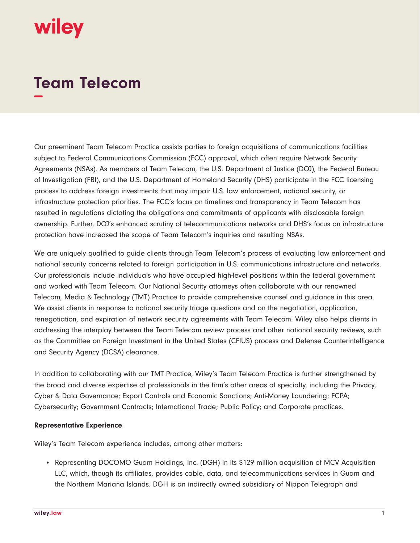## wiley

## **Team Telecom −**

Our preeminent Team Telecom Practice assists parties to foreign acquisitions of communications facilities subject to Federal Communications Commission (FCC) approval, which often require Network Security Agreements (NSAs). As members of Team Telecom, the U.S. Department of Justice (DOJ), the Federal Bureau of Investigation (FBI), and the U.S. Department of Homeland Security (DHS) participate in the FCC licensing process to address foreign investments that may impair U.S. law enforcement, national security, or infrastructure protection priorities. The FCC's focus on timelines and transparency in Team Telecom has resulted in regulations dictating the obligations and commitments of applicants with disclosable foreign ownership. Further, DOJ's enhanced scrutiny of telecommunications networks and DHS's focus on infrastructure protection have increased the scope of Team Telecom's inquiries and resulting NSAs.

We are uniquely qualified to guide clients through Team Telecom's process of evaluating law enforcement and national security concerns related to foreign participation in U.S. communications infrastructure and networks. Our professionals include individuals who have occupied high-level positions within the federal government and worked with Team Telecom. Our National Security attorneys often collaborate with our renowned Telecom, Media & Technology (TMT) Practice to provide comprehensive counsel and guidance in this area. We assist clients in response to national security triage questions and on the negotiation, application, renegotiation, and expiration of network security agreements with Team Telecom. Wiley also helps clients in addressing the interplay between the Team Telecom review process and other national security reviews, such as the Committee on Foreign Investment in the United States (CFIUS) process and Defense Counterintelligence and Security Agency (DCSA) clearance.

In addition to collaborating with our TMT Practice, Wiley's Team Telecom Practice is further strengthened by the broad and diverse expertise of professionals in the firm's other areas of specialty, including the Privacy, Cyber & Data Governance; Export Controls and Economic Sanctions; Anti-Money Laundering; FCPA; Cybersecurity; Government Contracts; International Trade; Public Policy; and Corporate practices.

## **Representative Experience**

Wiley's Team Telecom experience includes, among other matters:

• Representing DOCOMO Guam Holdings, Inc. (DGH) in its \$129 million acquisition of MCV Acquisition LLC, which, though its affiliates, provides cable, data, and telecommunications services in Guam and the Northern Mariana Islands. DGH is an indirectly owned subsidiary of Nippon Telegraph and